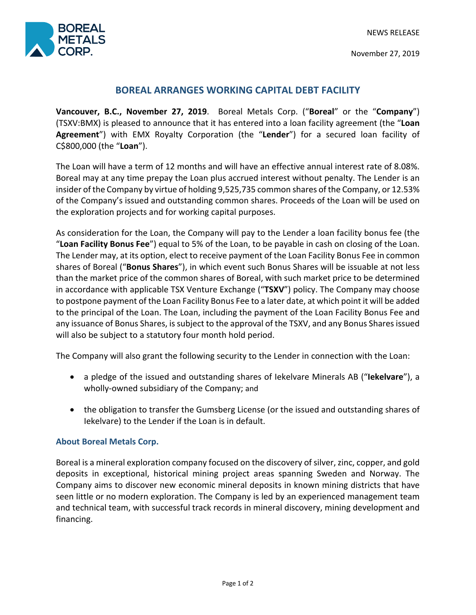NEWS RELEASE



November 27, 2019

## **BOREAL ARRANGES WORKING CAPITAL DEBT FACILITY**

**Vancouver, B.C., November 27, 2019**. Boreal Metals Corp. ("**Boreal**" or the "**Company**") (TSXV:BMX) is pleased to announce that it has entered into a loan facility agreement (the "**Loan Agreement**") with EMX Royalty Corporation (the "**Lender**") for a secured loan facility of C\$800,000 (the "**Loan**").

The Loan will have a term of 12 months and will have an effective annual interest rate of 8.08%. Boreal may at any time prepay the Loan plus accrued interest without penalty. The Lender is an insider of the Company by virtue of holding 9,525,735 common shares of the Company, or 12.53% of the Company's issued and outstanding common shares. Proceeds of the Loan will be used on the exploration projects and for working capital purposes.

As consideration for the Loan, the Company will pay to the Lender a loan facility bonus fee (the "**Loan Facility Bonus Fee**") equal to 5% of the Loan, to be payable in cash on closing of the Loan. The Lender may, at its option, elect to receive payment of the Loan Facility Bonus Fee in common shares of Boreal ("**Bonus Shares**"), in which event such Bonus Shares will be issuable at not less than the market price of the common shares of Boreal, with such market price to be determined in accordance with applicable TSX Venture Exchange ("**TSXV**") policy. The Company may choose to postpone payment of the Loan Facility Bonus Fee to a later date, at which point it will be added to the principal of the Loan. The Loan, including the payment of the Loan Facility Bonus Fee and any issuance of Bonus Shares, is subject to the approval of the TSXV, and any Bonus Shares issued will also be subject to a statutory four month hold period.

The Company will also grant the following security to the Lender in connection with the Loan:

- a pledge of the issued and outstanding shares of Iekelvare Minerals AB ("**Iekelvare**"), a wholly-owned subsidiary of the Company; and
- the obligation to transfer the Gumsberg License (or the issued and outstanding shares of Iekelvare) to the Lender if the Loan is in default.

## **About Boreal Metals Corp.**

Boreal is a mineral exploration company focused on the discovery of silver, zinc, copper, and gold deposits in exceptional, historical mining project areas spanning Sweden and Norway. The Company aims to discover new economic mineral deposits in known mining districts that have seen little or no modern exploration. The Company is led by an experienced management team and technical team, with successful track records in mineral discovery, mining development and financing.